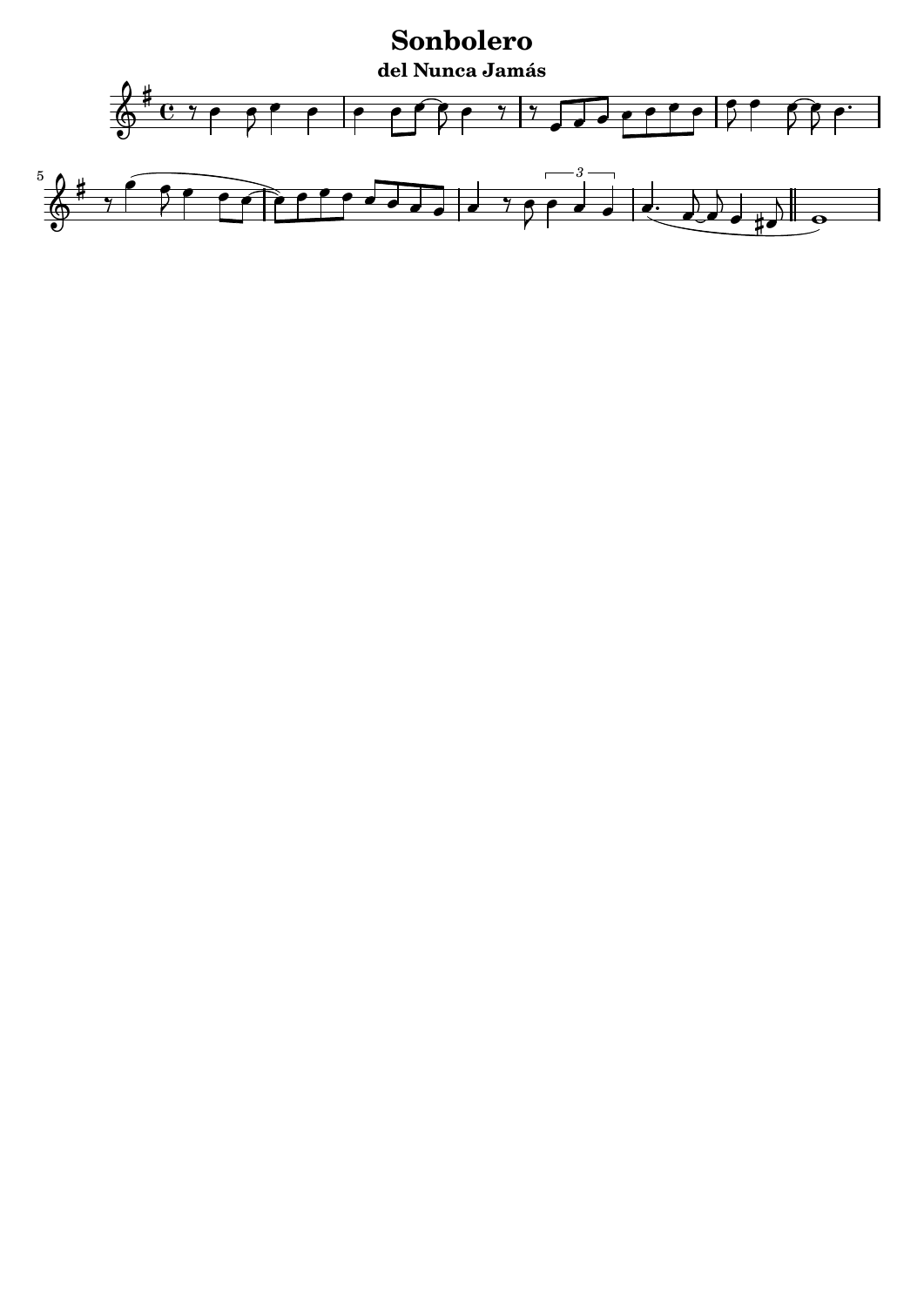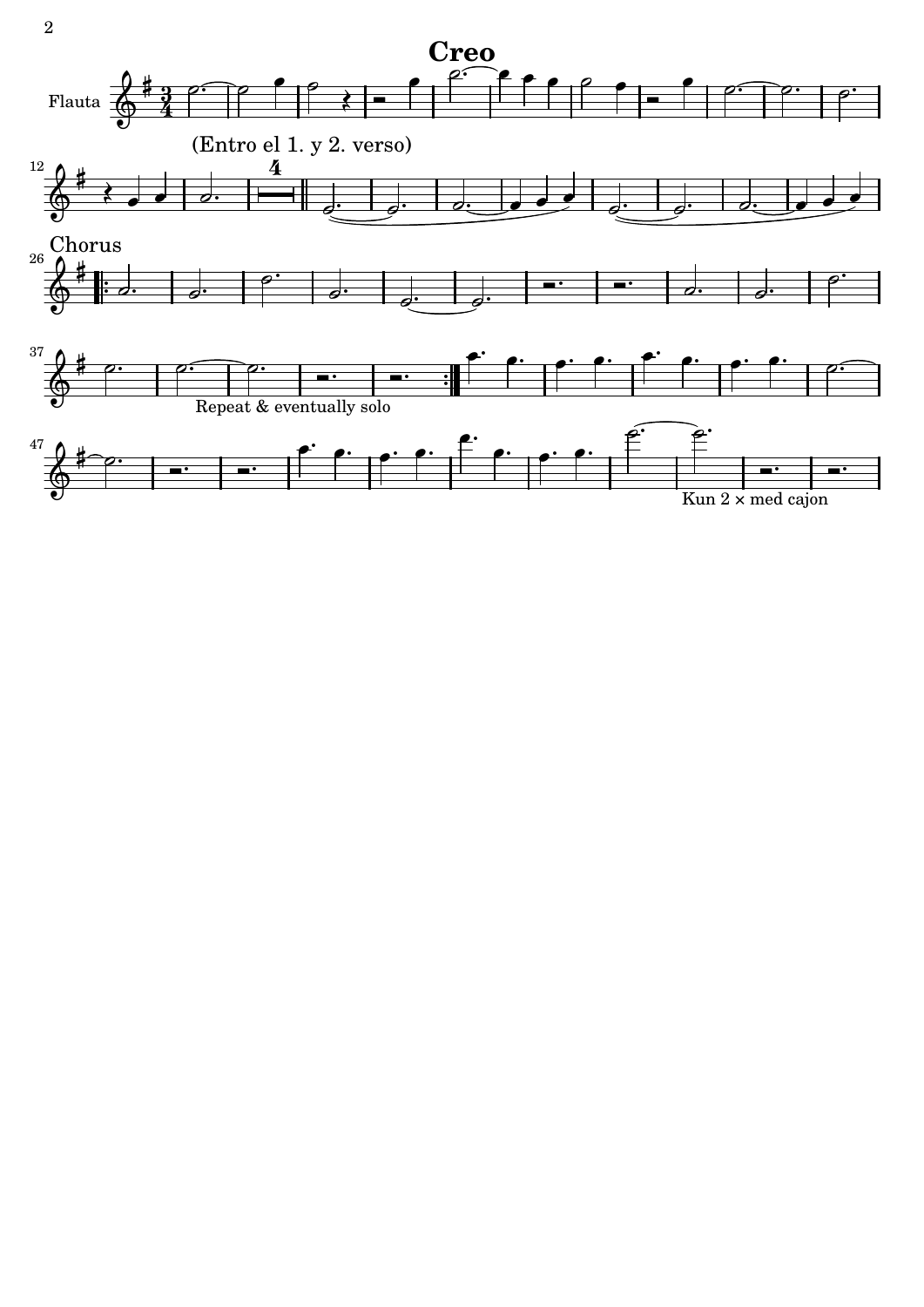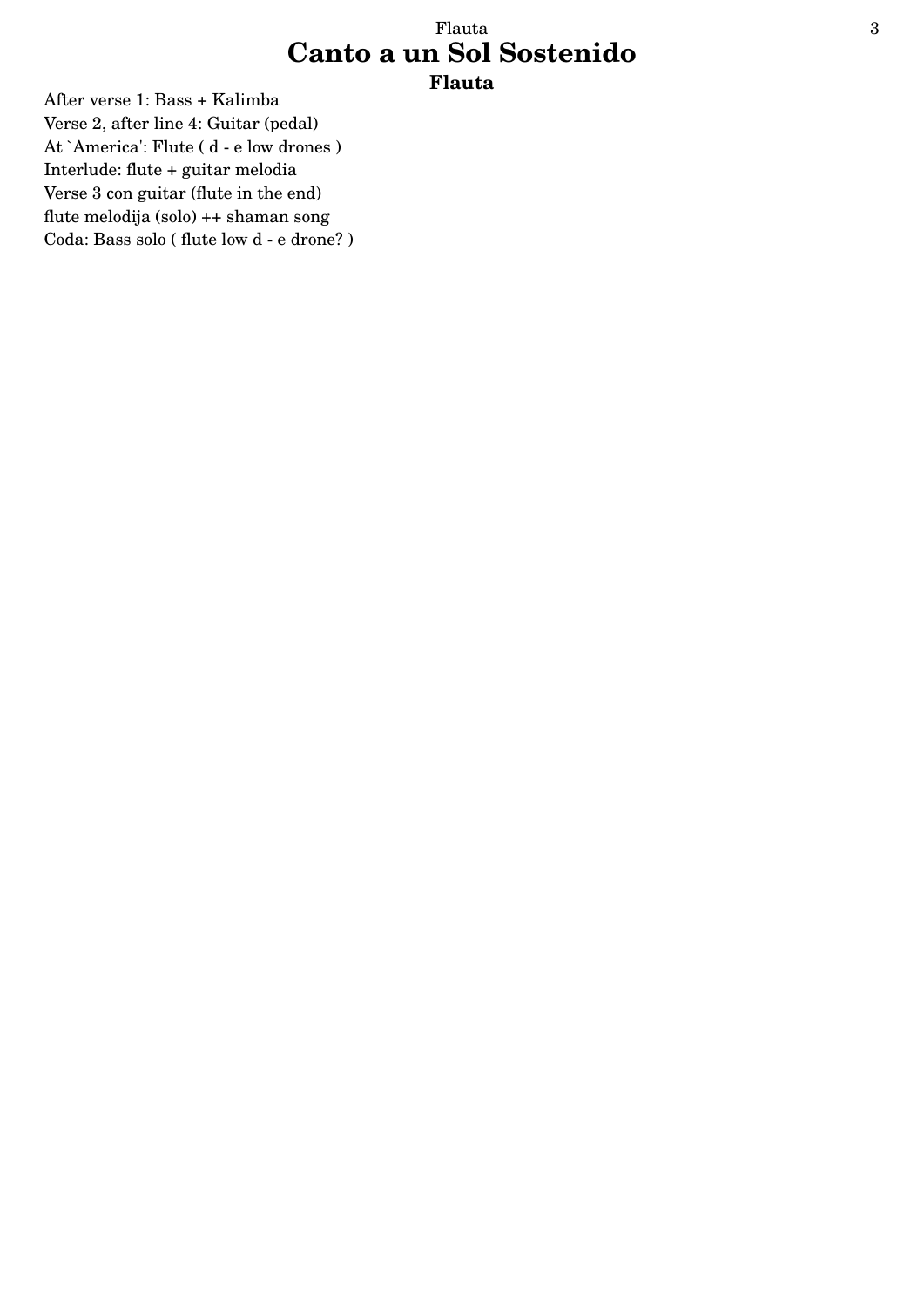#### Flauta 3 **Canto a un Sol Sostenido Flauta**

After verse 1: Bass + Kalimba Verse 2, after line 4: Guitar (pedal) At `America': Flute ( d - e low drones ) Interlude: flute + guitar melodia Verse 3 con guitar (flute in the end) flute melodija (solo) ++ shaman song Coda: Bass solo ( flute low d - e drone? )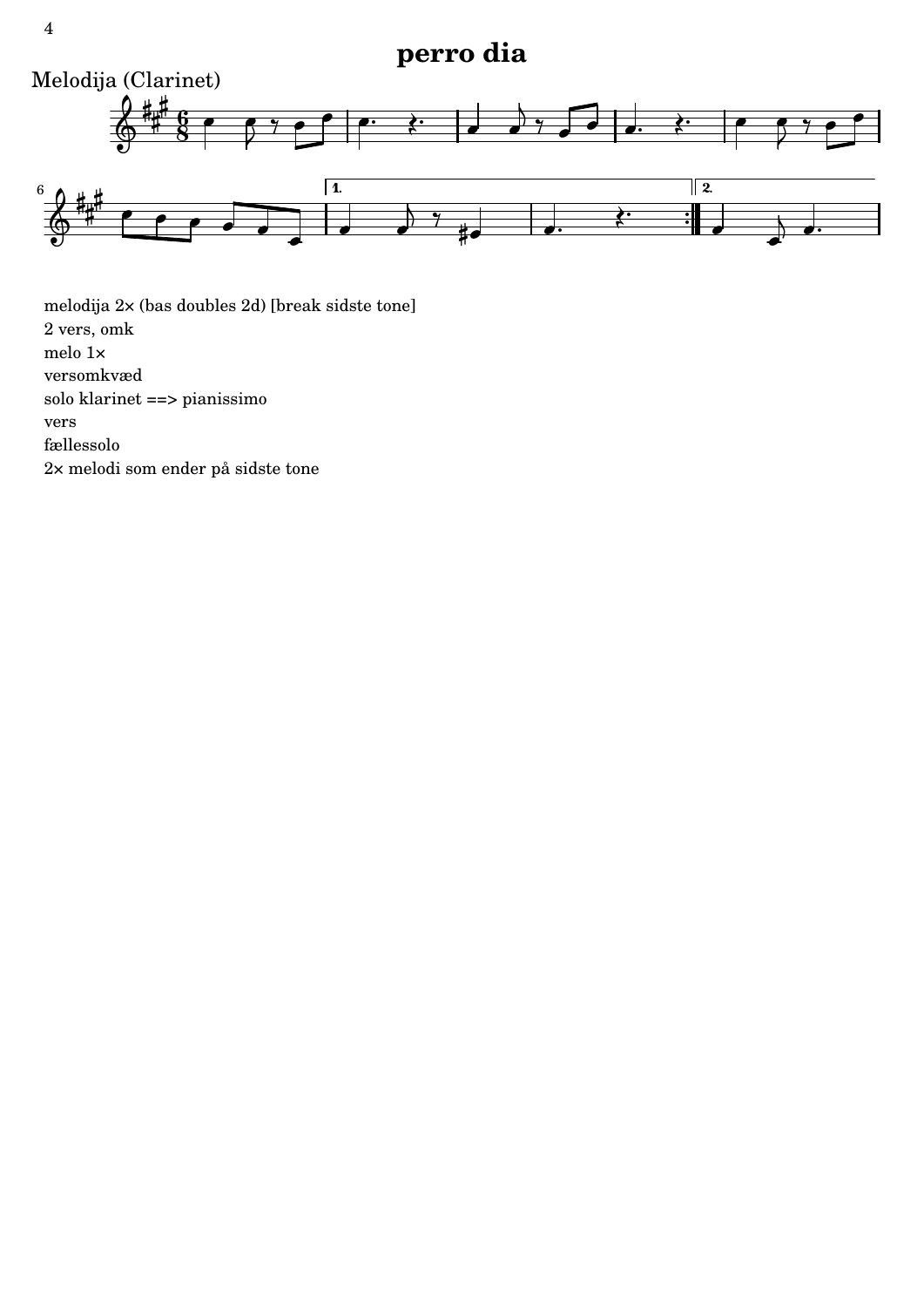### **perro dia**



melodija 2× (bas doubles 2d) [break sidste tone] 2 vers, omk melo 1× versomkvæd solo klarinet ==> pianissimo vers fællessolo 2× melodi som ender på sidste tone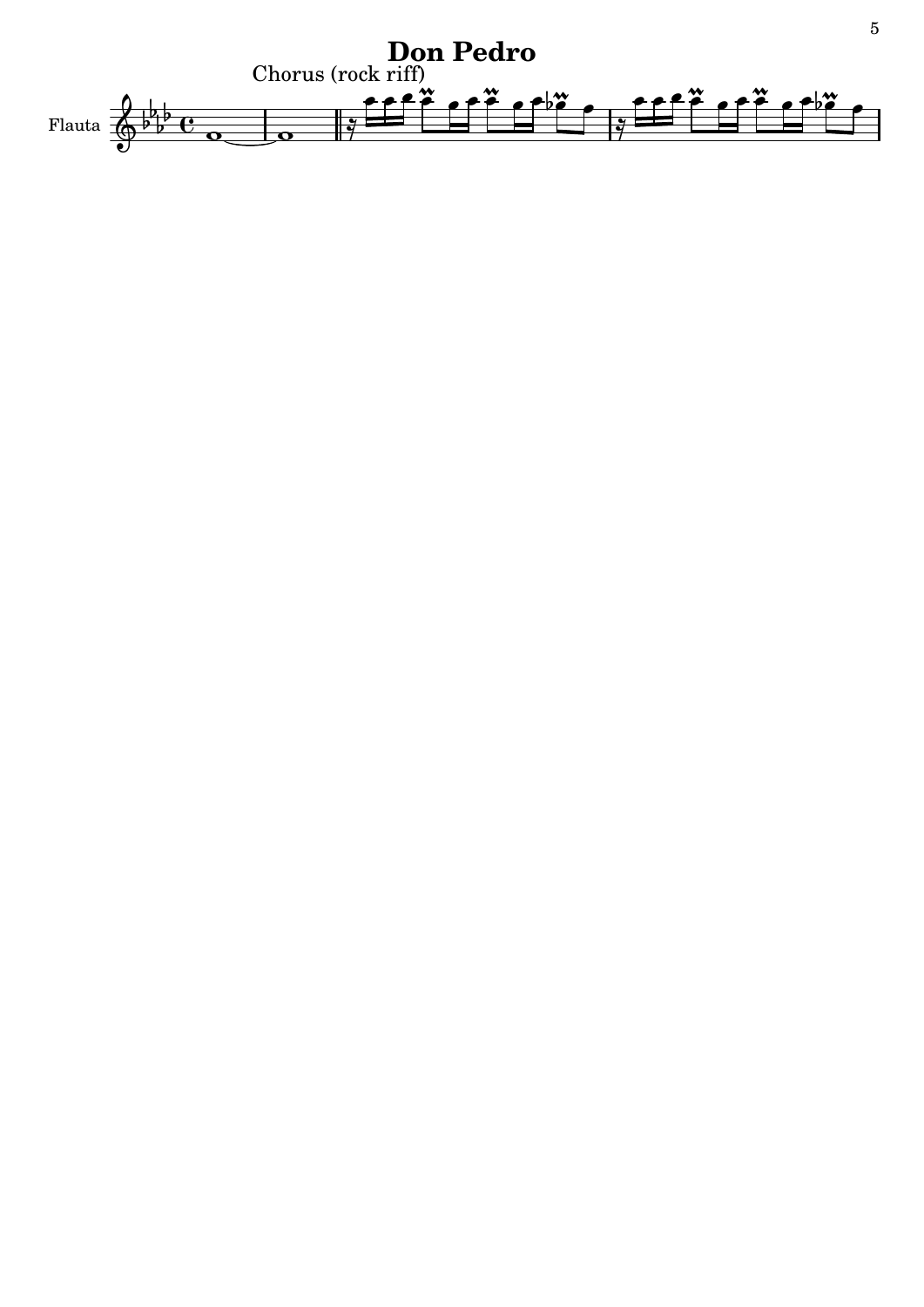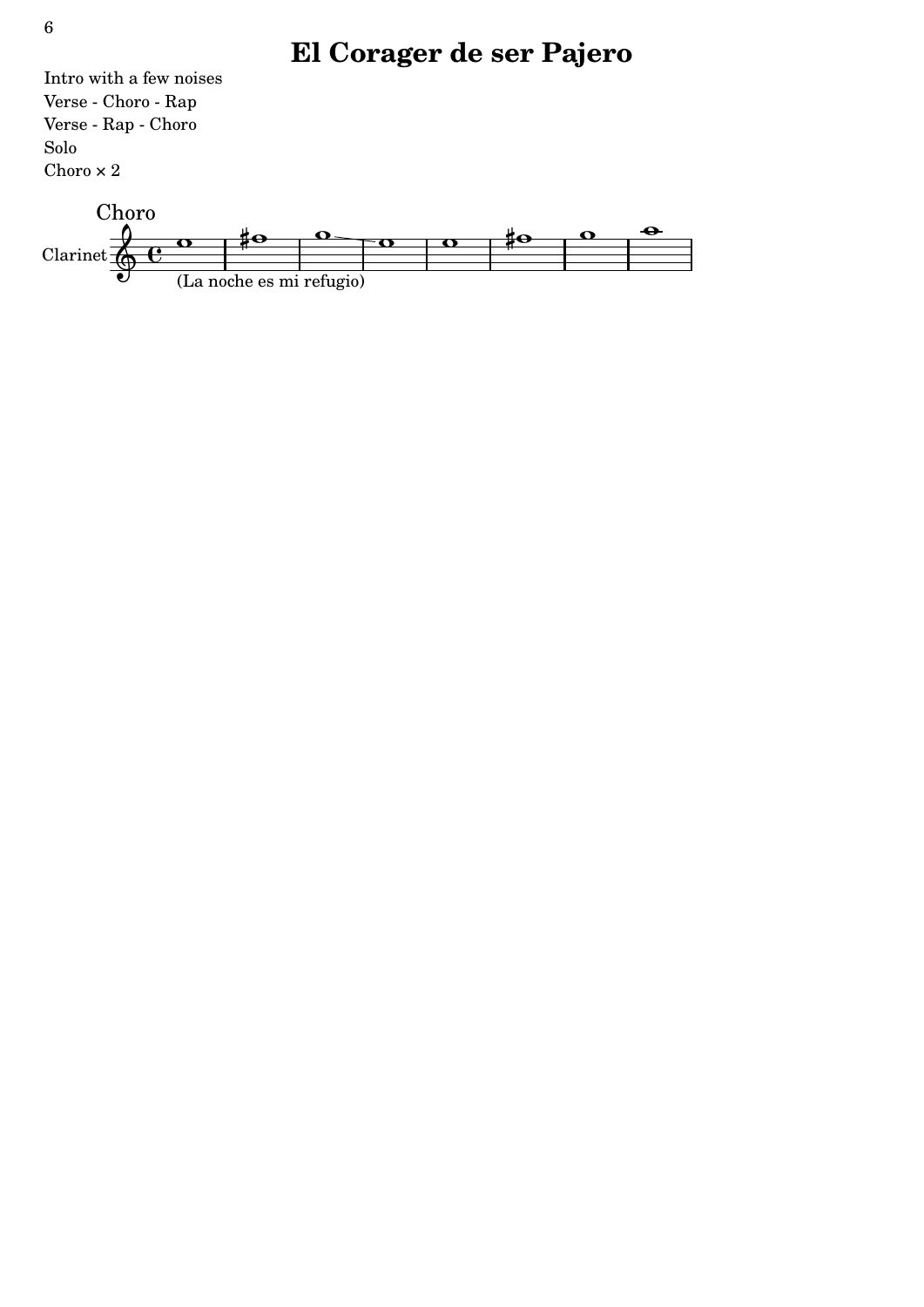# **El Corager de ser Pajero**

Intro with a few noises Verse - Choro - Rap Verse - Rap - Choro Solo Choro  $\times$  2

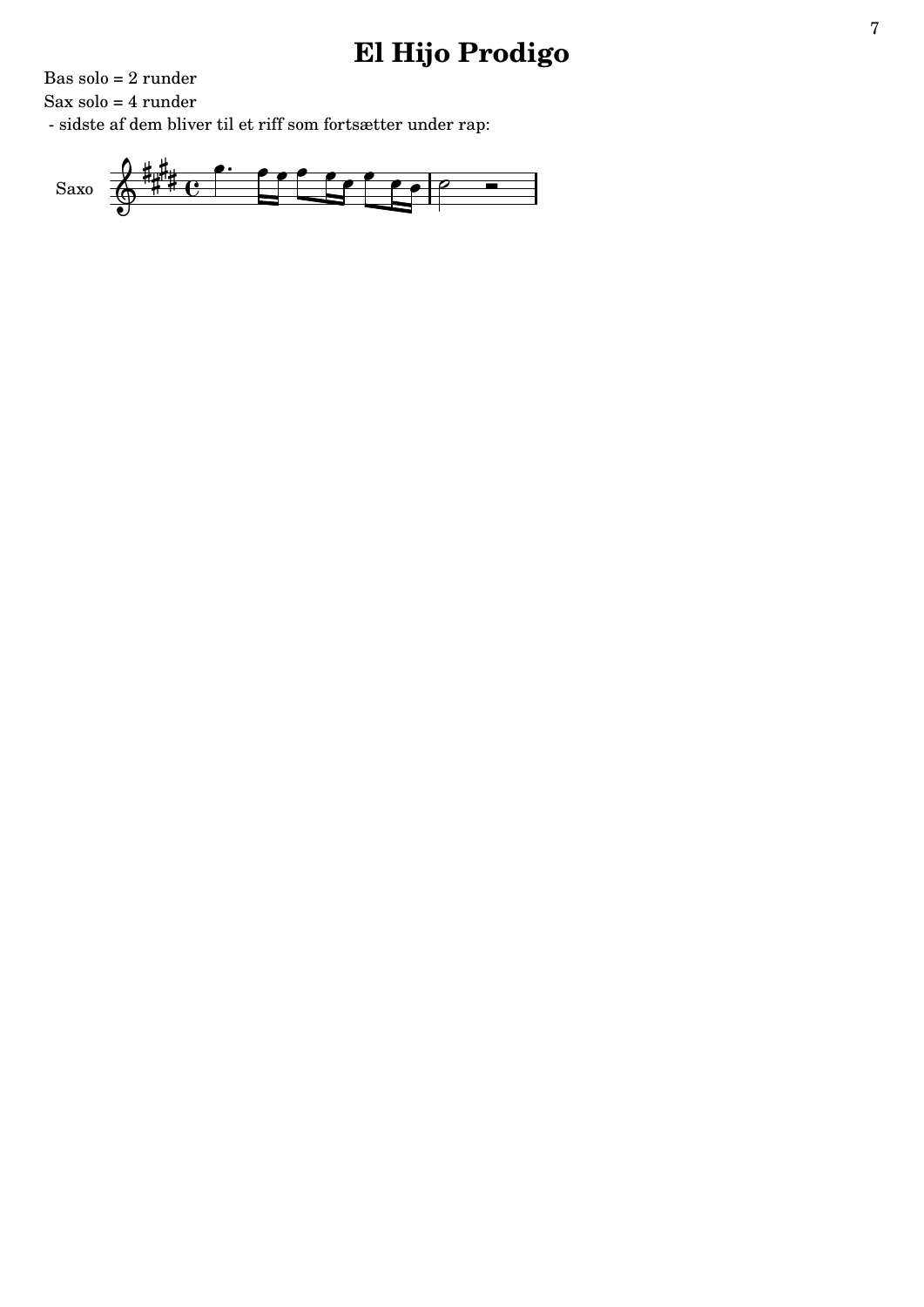### El Hijo Prodigo

Bas solo =  $2$  runder

Sax solo =  $4$  runder

 $\mbox{-}$  sidste af dem bliver til et riff som fortsætter under rap:

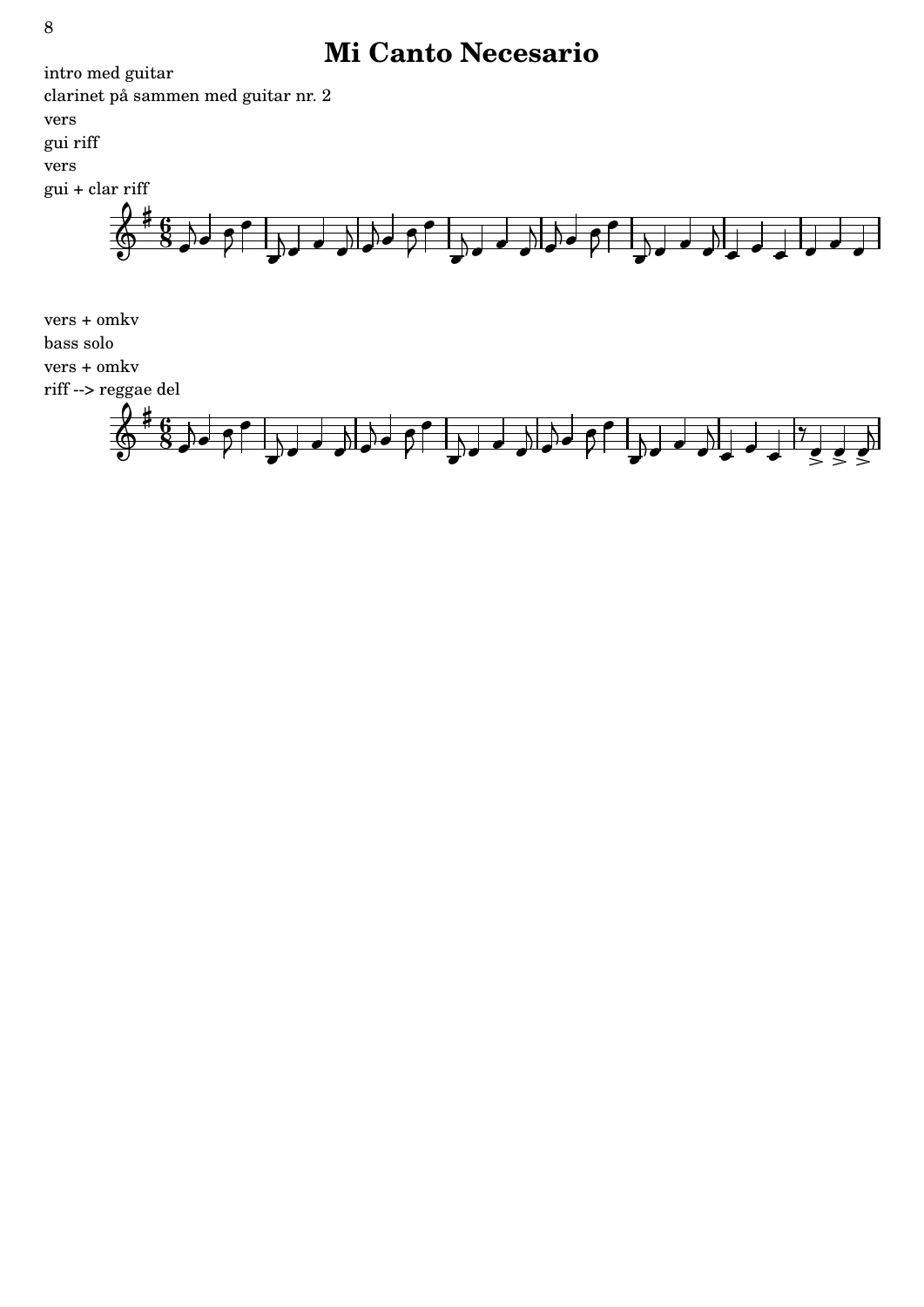### **Mi Canto Necesario**



 $\overline{\phantom{a}}$ 

 $\overline{\phantom{a}}$